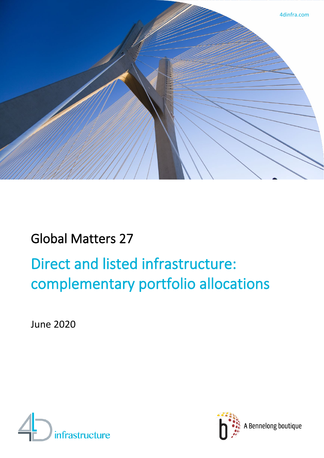

## Global Matters 27

# Direct and listed infrastructure: complementary portfolio allocations

June 2020



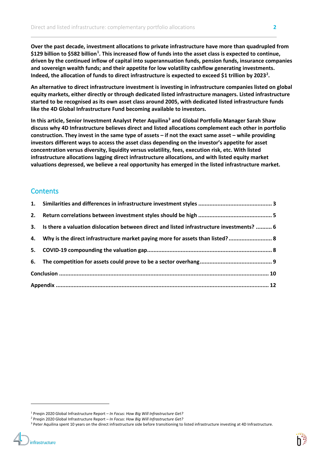**Over the past decade, investment allocations to private infrastructure have more than quadrupled from \$129 billion to \$582 billion[1](#page-1-0) . This increased flow of funds into the asset class is expected to continue, driven by the continued inflow of capital into superannuation funds, pension funds, insurance companies and sovereign wealth funds; and their appetite for low volatility cashflow generating investments. Indeed, the allocation of funds to direct infrastructure is expected to exceed \$1 trillion by 2023[2](#page-1-1) .**

**An alternative to direct infrastructure investment is investing in infrastructure companies listed on global equity markets, either directly or through dedicated listed infrastructure managers. Listed infrastructure started to be recognised as its own asset class around 2005, with dedicated listed infrastructure funds like the 4D Global Infrastructure Fund becoming available to investors.** 

**In this article, Senior Investment Analyst Peter Aquilina[3](#page-1-2) and Global Portfolio Manager Sarah Shaw discuss why 4D Infrastructure believes direct and listed allocations complement each other in portfolio construction. They invest in the same type of assets – if not the exact same asset – while providing investors different ways to access the asset class depending on the investor's appetite for asset concentration versus diversity, liquidity versus volatility, fees, execution risk, etc. With listed infrastructure allocations lagging direct infrastructure allocations, and with listed equity market valuations depressed, we believe a real opportunity has emerged in the listed infrastructure market.**

### **Contents**

infrastructure

| 3. Is there a valuation dislocation between direct and listed infrastructure investments?  6 |  |
|----------------------------------------------------------------------------------------------|--|
| 4. Why is the direct infrastructure market paying more for assets than listed?  8            |  |
|                                                                                              |  |
|                                                                                              |  |
|                                                                                              |  |
|                                                                                              |  |
|                                                                                              |  |

<span id="page-1-0"></span><sup>1</sup> Preqin 2020 Global Infrastructure Report – *In Focus: How Big Will Infrastructure Get?*

<span id="page-1-1"></span><sup>2</sup> Preqin 2020 Global Infrastructure Report – *In Focus: How Big Will Infrastructure Get?*

<span id="page-1-2"></span><sup>&</sup>lt;sup>3</sup> Peter Aquilina spent 10 years on the direct infrastructure side before transitioning to listed infrastructure investing at 4D Infrastructure.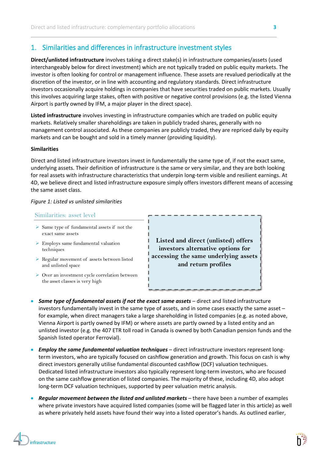## 1. Similarities and differences in infrastructure investment styles

**Direct/unlisted infrastructure** involves taking a direct stake(s) in infrastructure companies/assets (used interchangeably below for direct investment) which are not typically traded on public equity markets. The investor is often looking for control or management influence. These assets are revalued periodically at the discretion of the investor, or in line with accounting and regulatory standards. Direct infrastructure investors occasionally acquire holdings in companies that have securities traded on public markets. Usually this involves acquiring large stakes, often with positive or negative control provisions (e.g. the listed Vienna Airport is partly owned by IFM, a major player in the direct space).

**Listed infrastructure** involves investing in infrastructure companies which are traded on public equity markets. Relatively smaller shareholdings are taken in publicly traded shares, generally with no management control associated. As these companies are publicly traded, they are repriced daily by equity markets and can be bought and sold in a timely manner (providing liquidity).

#### **Similarities**

Direct and listed infrastructure investors invest in fundamentally the same type of, if not the exact same, underlying assets. Their definition of infrastructure is the same or very similar, and they are both looking for real assets with infrastructure characteristics that underpin long-term visible and resilient earnings. At 4D, we believe direct and listed infrastructure exposure simply offers investors different means of accessing the same asset class.

#### *Figure 1: Listed vs unlisted similarities*

#### Similarities: asset level

- $\triangleright$  Same type of fundamental assets if not the exact same assets
- Employs same fundamental valuation techniques
- $\triangleright$  Regular movement of assets between listed and unlisted space
- Over an investment cycle correlation between the asset classes is very high

**Listed and direct (unlisted) offers investors alternative options for accessing the same underlying assets and return profiles**

- *Same type of fundamental assets if not the exact same assets* direct and listed infrastructure investors fundamentally invest in the same type of assets, and in some cases exactly the same asset – for example, when direct managers take a large shareholding in listed companies (e.g. as noted above, Vienna Airport is partly owned by IFM) or where assets are partly owned by a listed entity and an unlisted investor (e.g. the 407 ETR toll road in Canada is owned by both Canadian pension funds and the Spanish listed operator Ferrovial).
- *Employ the same fundamental valuation techniques* direct infrastructure investors represent longterm investors, who are typically focused on cashflow generation and growth. This focus on cash is why direct investors generally utilise fundamental discounted cashflow (DCF) valuation techniques. Dedicated listed infrastructure investors also typically represent long-term investors, who are focused on the same cashflow generation of listed companies. The majority of these, including 4D, also adopt long-term DCF valuation techniques, supported by peer valuation metric analysis.
- *Regular movement between the listed and unlisted markets* there have been a number of examples where private investors have acquired listed companies (some will be flagged later in this article) as well as where privately held assets have found their way into a listed operator's hands. As outlined earlier,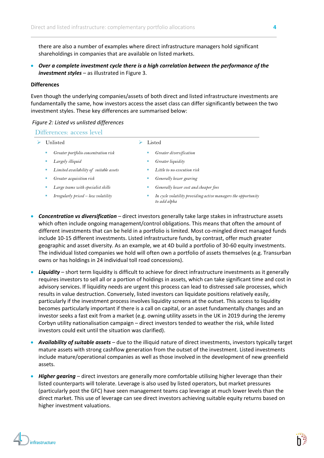there are also a number of examples where direct infrastructure managers hold significant shareholdings in companies that are available on listed markets.

• *Over a complete investment cycle there is a high correlation between the performance of the investment styles* – as illustrated in Figure 3.

#### **Differences**

Even though the underlying companies/assets of both direct and listed infrastructure investments are fundamentally the same, how investors access the asset class can differ significantly between the two investment styles. These key differences are summarised below:

#### *Figure 2: Listed vs unlisted differences*

#### Differences: access level

| Unlisted                                  | Listed                                                                        |
|-------------------------------------------|-------------------------------------------------------------------------------|
| Greater portfolio concentration risk<br>ш | Greater diversification                                                       |
| Largely illiquid                          | Greater liquidity                                                             |
| Limited availability of suitable assets   | Little to no execution risk                                                   |
| Greater acquisition risk                  | Generally lower gearing                                                       |
| Large teams with specialist skills        | Generally lower cost and cheaper fees                                         |
| Irregularly priced - low volatility       | In cycle volatility providing active managers the opportunity<br>to add alpha |

- *Concentration vs diversification* direct investors generally take large stakes in infrastructure assets which often include ongoing management/control obligations. This means that often the amount of different investments that can be held in a portfolio is limited. Most co-mingled direct managed funds include 10-15 different investments. Listed infrastructure funds, by contrast, offer much greater geographic and asset diversity. As an example, we at 4D build a portfolio of 30-60 equity investments. The individual listed companies we hold will often own a portfolio of assets themselves (e.g. Transurban owns or has holdings in 24 individual toll road concessions).
- *Liquidity* short term liquidity is difficult to achieve for direct infrastructure investments as it generally requires investors to sell all or a portion of holdings in assets, which can take significant time and cost in advisory services. If liquidity needs are urgent this process can lead to distressed sale processes, which results in value destruction. Conversely, listed investors can liquidate positions relatively easily, particularly if the investment process involves liquidity screens at the outset. This access to liquidity becomes particularly important if there is a call on capital, or an asset fundamentally changes and an investor seeks a fast exit from a market (e.g. owning utility assets in the UK in 2019 during the Jeremy Corbyn utility nationalisation campaign – direct investors tended to weather the risk, while listed investors could exit until the situation was clarified).
- *Availability of suitable assets* due to the illiquid nature of direct investments, investors typically target mature assets with strong cashflow generation from the outset of the investment. Listed investments include mature/operational companies as well as those involved in the development of new greenfield assets.
- *Higher gearing –* direct investors are generally more comfortable utilising higher leverage than their listed counterparts will tolerate. Leverage is also used by listed operators, but market pressures (particularly post the GFC) have seen management teams cap leverage at much lower levels than the direct market. This use of leverage can see direct investors achieving suitable equity returns based on higher investment valuations.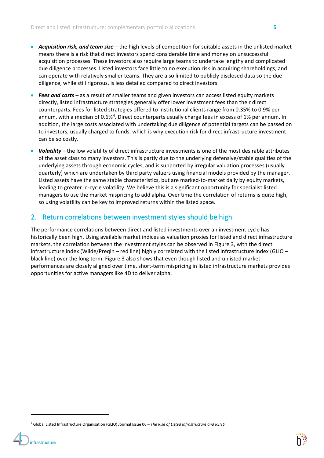- *Acquisition risk, and team size* the high levels of competition for suitable assets in the unlisted market means there is a risk that direct investors spend considerable time and money on unsuccessful acquisition processes. These investors also require large teams to undertake lengthy and complicated due diligence processes. Listed investors face little to no execution risk in acquiring shareholdings, and can operate with relatively smaller teams. They are also limited to publicly disclosed data so the due diligence, while still rigorous, is less detailed compared to direct investors.
- *Fees and costs –* as a result of smaller teams and given investors can access listed equity markets directly, listed infrastructure strategies generally offer lower investment fees than their direct counterparts. Fees for listed strategies offered to institutional clients range from 0.35% to 0.9% per annum, with a median of 0.6%<sup>[4](#page-4-0)</sup>. Direct counterparts usually charge fees in excess of 1% per annum. In addition, the large costs associated with undertaking due diligence of potential targets can be passed on to investors, usually charged to funds, which is why execution risk for direct infrastructure investment can be so costly.
- *Volatility –* the low volatility of direct infrastructure investments is one of the most desirable attributes of the asset class to many investors. This is partly due to the underlying defensive/stable qualities of the underlying assets through economic cycles, and is supported by irregular valuation processes (usually quarterly) which are undertaken by third party valuers using financial models provided by the manager. Listed assets have the same stable characteristics, but are marked-to-market daily by equity markets, leading to greater in-cycle volatility. We believe this is a significant opportunity for specialist listed managers to use the market mispricing to add alpha. Over time the correlation of returns is quite high, so using volatility can be key to improved returns within the listed space.

## 2. Return correlations between investment styles should be high

The performance correlations between direct and listed investments over an investment cycle has historically been high. Using available market indices as valuation proxies for listed and direct infrastructure markets, the correlation between the investment styles can be observed in Figure 3, with the direct infrastructure index (Wilde/Preqin – red line) highly correlated with the listed infrastructure index (GLIO – black line) over the long term. Figure 3 also shows that even though listed and unlisted market performances are closely aligned over time, short-term mispricing in listed infrastructure markets provides opportunities for active managers like 4D to deliver alpha.



<span id="page-4-0"></span><sup>4</sup> Global Listed Infrastructure Organisation (GLIO) Journal Issue 06 – *The Rise of Listed Infrastructure and REITS*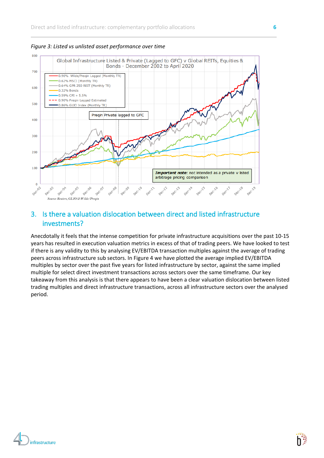

*Figure 3: Listed vs unlisted asset performance over time*

## 3. Is there a valuation dislocation between direct and listed infrastructure investments?

Anecdotally it feels that the intense competition for private infrastructure acquisitions over the past 10-15 years has resulted in execution valuation metrics in excess of that of trading peers. We have looked to test if there is any validity to this by analysing EV/EBITDA transaction multiples against the average of trading peers across infrastructure sub sectors. In Figure 4 we have plotted the average implied EV/EBITDA multiples by sector over the past five years for listed infrastructure by sector, against the same implied multiple for select direct investment transactions across sectors over the same timeframe. Our key takeaway from this analysis is that there appears to have been a clear valuation dislocation between listed trading multiples and direct infrastructure transactions, across all infrastructure sectors over the analysed period.

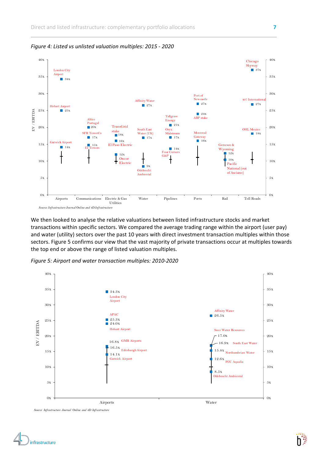

*Figure 4: Listed vs unlisted valuation multiples: 2015 - 2020*

We then looked to analyse the relative valuations between listed infrastructure stocks and market transactions within specific sectors. We compared the average trading range within the airport (user pay) and water (utility) sectors over the past 10 years with direct investment transaction multiples within those sectors. Figure 5 confirms our view that the vast majority of private transactions occur at multiples towards the top end or above the range of listed valuation multiples.

*Figure 5: Airport and water transaction multiples: 2010-2020*





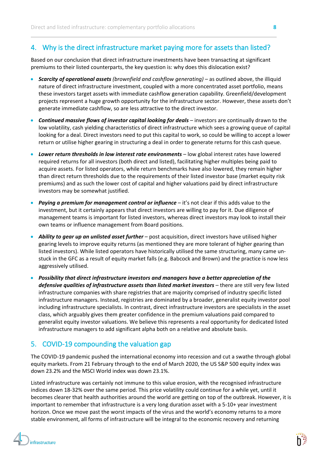## 4. Why is the direct infrastructure market paying more for assets than listed?

Based on our conclusion that direct infrastructure investments have been transacting at significant premiums to their listed counterparts, the key question is: why does this dislocation exist?

- *Scarcity of operational assets (brownfield and cashflow generating)* as outlined above, the illiquid nature of direct infrastructure investment, coupled with a more concentrated asset portfolio, means these investors target assets with immediate cashflow generation capability. Greenfield/development projects represent a huge growth opportunity for the infrastructure sector. However, these assets don't generate immediate cashflow, so are less attractive to the direct investor.
- *Continued massive flows of investor capital looking for deals –* investors are continually drawn to the low volatility, cash yielding characteristics of direct infrastructure which sees a growing queue of capital looking for a deal. Direct investors need to put this capital to work, so could be willing to accept a lower return or utilise higher gearing in structuring a deal in order to generate returns for this cash queue.
- *Lower return thresholds in low interest rate environments* low global interest rates have lowered required returns for all investors (both direct and listed), facilitating higher multiples being paid to acquire assets. For listed operators, while return benchmarks have also lowered, they remain higher than direct return thresholds due to the requirements of their listed investor base (market equity risk premiums) and as such the lower cost of capital and higher valuations paid by direct infrastructure investors may be somewhat justified.
- **Paying a premium for management control or influence** it's not clear if this adds value to the investment, but it certainly appears that direct investors are willing to pay for it. Due diligence of management teams is important for listed investors, whereas direct investors may look to install their own teams or influence management from Board positions.
- *Ability to gear up an unlisted asset further* post acquisition, direct investors have utilised higher gearing levels to improve equity returns (as mentioned they are more tolerant of higher gearing than listed investors). While listed operators have historically utilised the same structuring, many came unstuck in the GFC as a result of equity market falls (e.g. Babcock and Brown) and the practice is now less aggressively utilised.
- *Possibility that direct infrastructure investors and managers have a better appreciation of the defensive qualities of infrastructure assets than listed market investors* – there are still very few listed infrastructure companies with share registries that are majority comprised of industry specific listed infrastructure managers. Instead, registries are dominated by a broader, generalist equity investor pool including infrastructure specialists. In contrast, direct infrastructure investors are specialists in the asset class, which arguably gives them greater confidence in the premium valuations paid compared to generalist equity investor valuations. We believe this represents a real opportunity for dedicated listed infrastructure managers to add significant alpha both on a relative and absolute basis.

## 5. COVID-19 compounding the valuation gap

The COVID-19 pandemic pushed the international economy into recession and cut a swathe through global equity markets. From 21 February through to the end of March 2020, the US S&P 500 equity index was down 23.2% and the MSCI World index was down 23.1%.

Listed infrastructure was certainly not immune to this value erosion, with the recognised infrastructure indices down 18-32% over the same period. This price volatility could continue for a while yet, until it becomes clearer that health authorities around the world are getting on top of the outbreak. However, it is important to remember that infrastructure is a very long duration asset with a 5-10+ year investment horizon. Once we move past the worst impacts of the virus and the world's economy returns to a more stable environment, all forms of infrastructure will be integral to the economic recovery and returning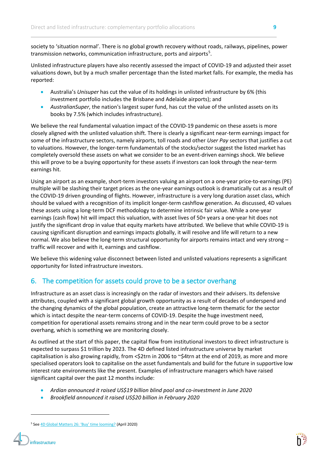society to 'situation normal'. There is no global growth recovery without roads, railways, pipelines, power transmission networks, communication infrastructure, ports and airports<sup>[5](#page-8-0)</sup>.

Unlisted infrastructure players have also recently assessed the impact of COVID-19 and adjusted their asset valuations down, but by a much smaller percentage than the listed market falls. For example, the media has reported:

- Australia's *Unisuper* has cut the value of its holdings in unlisted infrastructure by 6% (this investment portfolio includes the Brisbane and Adelaide airports); and
- *AustralianSuper*, the nation's largest super fund, has cut the value of the unlisted assets on its books by 7.5% (which includes infrastructure).

We believe the real fundamental valuation impact of the COVID-19 pandemic on these assets is more closely aligned with the unlisted valuation shift. There is clearly a significant near-term earnings impact for some of the infrastructure sectors, namely airports, toll roads and other *User Pay* sectors that justifies a cut to valuations. However, the longer-term fundamentals of the stocks/sector suggest the listed market has completely oversold these assets on what we consider to be an event-driven earnings shock. We believe this will prove to be a buying opportunity for these assets if investors can look through the near-term earnings hit.

Using an airport as an example, short-term investors valuing an airport on a one-year price-to-earnings (PE) multiple will be slashing their target prices as the one-year earnings outlook is dramatically cut as a result of the COVID-19 driven grounding of flights. However, infrastructure is a very long duration asset class, which should be valued with a recognition of its implicit longer-term cashflow generation. As discussed, 4D values these assets using a long-term DCF methodology to determine intrinsic fair value. While a one-year earnings (cash flow) hit will impact this valuation, with asset lives of 50+ years a one-year hit does not justify the significant drop in value that equity markets have attributed. We believe that while COVID-19 is causing significant disruption and earnings impacts globally, it will resolve and life will return to a new normal. We also believe the long-term structural opportunity for airports remains intact and very strong – traffic will recover and with it, earnings and cashflow.

We believe this widening value disconnect between listed and unlisted valuations represents a significant opportunity for listed infrastructure investors.

## 6. The competition for assets could prove to be a sector overhang

Infrastructure as an asset class is increasingly on the radar of investors and their advisers. Its defensive attributes, coupled with a significant global growth opportunity as a result of decades of underspend and the changing dynamics of the global population, create an attractive long-term thematic for the sector which is intact despite the near-term concerns of COVID-19. Despite the huge investment need, competition for operational assets remains strong and in the near term could prove to be a sector overhang, which is something we are monitoring closely.

As outlined at the start of this paper, the capital flow from institutional investors to direct infrastructure is expected to surpass \$1 trillion by 2023. The 4D defined listed infrastructure universe by market capitalisation is also growing rapidly, from <\$2trn in 2006 to ~\$4trn at the end of 2019, as more and more specialised operators look to capitalise on the asset fundamentals and build for the future in supportive low interest rate environments like the present. Examples of infrastructure managers which have raised significant capital over the past 12 months include:

- *Ardian announced it raised US\$19 billion blind pool and co-investment in June 2020*
- *Brookfield announced it raised US\$20 billion in February 2020*

<span id="page-8-0"></span><sup>&</sup>lt;sup>5</sup> See [4D Global Matters 26: 'Buy'](https://www.bennelongfunds.com/insights/372/global-matters-global-listed-infrastructure) time looming? (April 2020)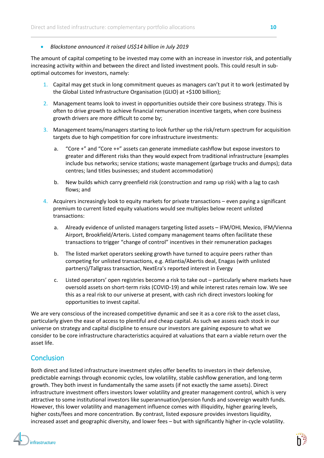#### • *Blackstone announced it raised US\$14 billion in July 2019*

The amount of capital competing to be invested may come with an increase in investor risk, and potentially increasing activity within and between the direct and listed investment pools. This could result in suboptimal outcomes for investors, namely:

- 1. Capital may get stuck in long commitment queues as managers can't put it to work (estimated by the Global Listed Infrastructure Organisation (GLIO) at +\$100 billion);
- 2. Management teams look to invest in opportunities outside their core business strategy. This is often to drive growth to achieve financial remuneration incentive targets, when core business growth drivers are more difficult to come by;
- 3. Management teams/managers starting to look further up the risk/return spectrum for acquisition targets due to high competition for core infrastructure investments:
	- a. "Core +" and "Core ++" assets can generate immediate cashflow but expose investors to greater and different risks than they would expect from traditional infrastructure (examples include bus networks; service stations; waste management (garbage trucks and dumps); data centres; land titles businesses; and student accommodation)
	- b. New builds which carry greenfield risk (construction and ramp up risk) with a lag to cash flows; and
- 4. Acquirers increasingly look to equity markets for private transactions even paying a significant premium to current listed equity valuations would see multiples below recent unlisted transactions:
	- a. Already evidence of unlisted managers targeting listed assets IFM/OHL Mexico, IFM/Vienna Airport, Brookfield/Arteris. Listed company management teams often facilitate these transactions to trigger "change of control" incentives in their remuneration packages
	- b. The listed market operators seeking growth have turned to acquire peers rather than competing for unlisted transactions, e.g. Atlantia/Abertis deal, Enagas (with unlisted partners)/Tallgrass transaction, NextEra's reported interest in Evergy
	- c. Listed operators' open registries become a risk to take out particularly where markets have oversold assets on short-term risks (COVID-19) and while interest rates remain low. We see this as a real risk to our universe at present, with cash rich direct investors looking for opportunities to invest capital.

We are very conscious of the increased competitive dynamic and see it as a core risk to the asset class, particularly given the ease of access to plentiful and cheap capital. As such we assess each stock in our universe on strategy and capital discipline to ensure our investors are gaining exposure to what we consider to be core infrastructure characteristics acquired at valuations that earn a viable return over the asset life.

## **Conclusion**

Both direct and listed infrastructure investment styles offer benefits to investors in their defensive, predictable earnings through economic cycles, low volatility, stable cashflow generation, and long-term growth. They both invest in fundamentally the same assets (if not exactly the same assets). Direct infrastructure investment offers investors lower volatility and greater management control, which is very attractive to some institutional investors like superannuation/pension funds and sovereign wealth funds. However, this lower volatility and management influence comes with illiquidity, higher gearing levels, higher costs/fees and more concentration. By contrast, listed exposure provides investors liquidity, increased asset and geographic diversity, and lower fees – but with significantly higher in-cycle volatility.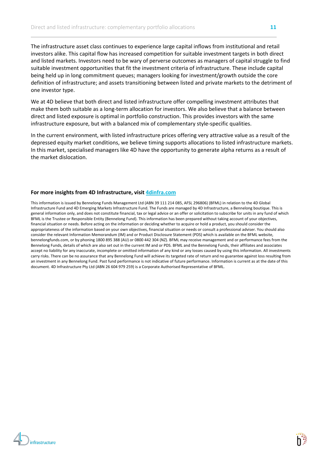The infrastructure asset class continues to experience large capital inflows from institutional and retail investors alike. This capital flow has increased competition for suitable investment targets in both direct and listed markets. Investors need to be wary of perverse outcomes as managers of capital struggle to find suitable investment opportunities that fit the investment criteria of infrastructure. These include capital being held up in long commitment queues; managers looking for investment/growth outside the core definition of infrastructure; and assets transitioning between listed and private markets to the detriment of one investor type.

We at 4D believe that both direct and listed infrastructure offer compelling investment attributes that make them both suitable as a long-term allocation for investors. We also believe that a balance between direct and listed exposure is optimal in portfolio construction. This provides investors with the same infrastructure exposure, but with a balanced mix of complementary style-specific qualities.

In the current environment, with listed infrastructure prices offering very attractive value as a result of the depressed equity market conditions, we believe timing supports allocations to listed infrastructure markets. In this market, specialised managers like 4D have the opportunity to generate alpha returns as a result of the market dislocation.

#### **For more insights from 4D Infrastructure, visit [4dinfra.com](http://www.4dinfra.com/)**

This information is issued by Bennelong Funds Management Ltd (ABN 39 111 214 085, AFSL 296806) (BFML) in relation to the 4D Global Infrastructure Fund and 4D Emerging Markets Infrastructure Fund. The Funds are managed by 4D Infrastructure, a Bennelong boutique. This is general information only, and does not constitute financial, tax or legal advice or an offer or solicitation to subscribe for units in any fund of which BFML is the Trustee or Responsible Entity (Bennelong Fund). This information has been prepared without taking account of your objectives, financial situation or needs. Before acting on the information or deciding whether to acquire or hold a product, you should consider the appropriateness of the information based on your own objectives, financial situation or needs or consult a professional adviser. You should also consider the relevant Information Memorandum (IM) and or Product Disclosure Statement (PDS) which is available on the BFML website, bennelongfunds.com, or by phoning 1800 895 388 (AU) or 0800 442 304 (NZ). BFML may receive management and or performance fees from the Bennelong Funds, details of which are also set out in the current IM and or PDS. BFML and the Bennelong Funds, their affiliates and associates accept no liability for any inaccurate, incomplete or omitted information of any kind or any losses caused by using this information. All investments carry risks. There can be no assurance that any Bennelong Fund will achieve its targeted rate of return and no guarantee against loss resulting from an investment in any Bennelong Fund. Past fund performance is not indicative of future performance. Information is current as at the date of this document. 4D Infrastructure Pty Ltd (ABN 26 604 979 259) is a Corporate Authorised Representative of BFML.